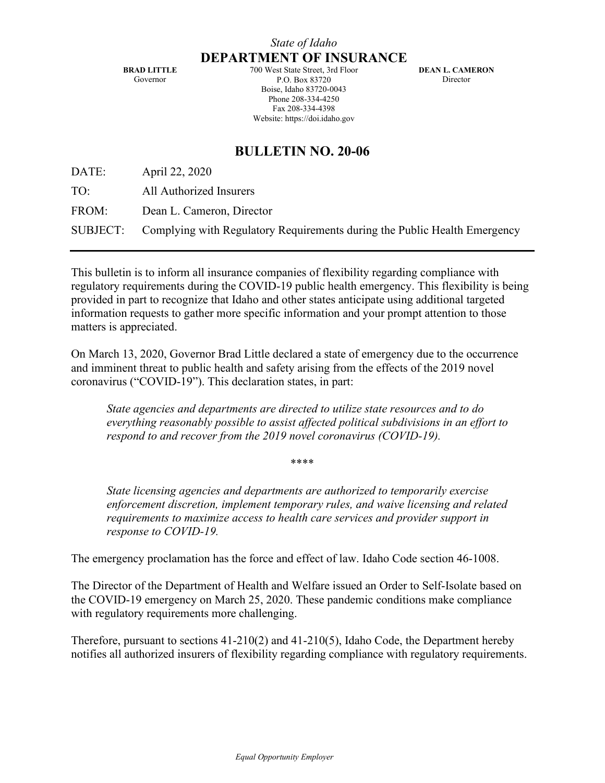**BRAD LITTLE** Governor

700 West State Street, 3rd Floor P.O. Box 83720 Boise, Idaho 83720-0043 Phone 208-334-4250 Fax 208-334-4398 Website: https://doi.idaho.gov

**DEAN L. CAMERON Director** 

# **BULLETIN NO. 20-06**

DATE: April 22, 2020

TO: All Authorized Insurers

FROM: Dean L. Cameron, Director

SUBJECT: Complying with Regulatory Requirements during the Public Health Emergency

This bulletin is to inform all insurance companies of flexibility regarding compliance with regulatory requirements during the COVID-19 public health emergency. This flexibility is being provided in part to recognize that Idaho and other states anticipate using additional targeted information requests to gather more specific information and your prompt attention to those matters is appreciated.

On March 13, 2020, Governor Brad Little declared a state of emergency due to the occurrence and imminent threat to public health and safety arising from the effects of the 2019 novel coronavirus ("COVID-19"). This declaration states, in part:

*State agencies and departments are directed to utilize state resources and to do everything reasonably possible to assist affected political subdivisions in an effort to respond to and recover from the 2019 novel coronavirus (COVID-19).* 

\*\*\*\*

*State licensing agencies and departments are authorized to temporarily exercise enforcement discretion, implement temporary rules, and waive licensing and related requirements to maximize access to health care services and provider support in response to COVID-19.* 

The emergency proclamation has the force and effect of law. Idaho Code section 46-1008.

The Director of the Department of Health and Welfare issued an Order to Self-Isolate based on the COVID-19 emergency on March 25, 2020. These pandemic conditions make compliance with regulatory requirements more challenging.

Therefore, pursuant to sections 41-210(2) and 41-210(5), Idaho Code, the Department hereby notifies all authorized insurers of flexibility regarding compliance with regulatory requirements.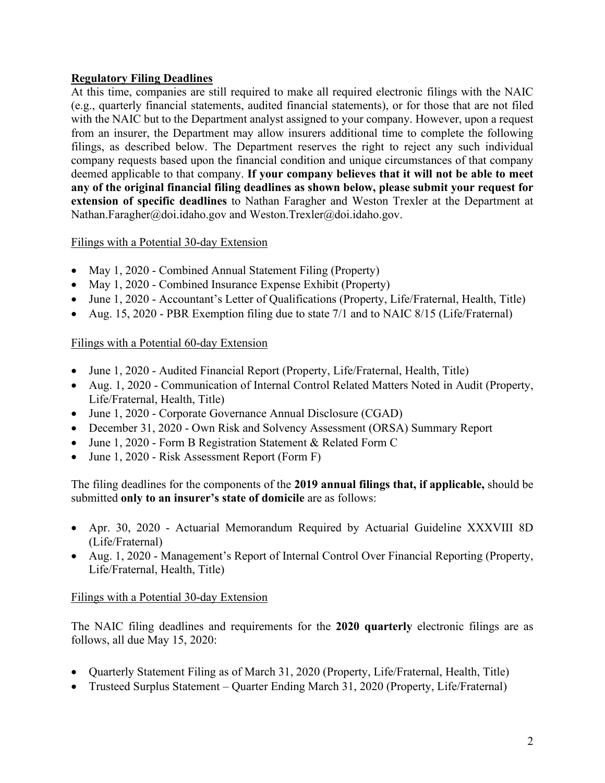#### **Regulatory Filing Deadlines**

At this time, companies are still required to make all required electronic filings with the NAIC (e.g., quarterly financial statements, audited financial statements), or for those that are not filed with the NAIC but to the Department analyst assigned to your company. However, upon a request from an insurer, the Department may allow insurers additional time to complete the following filings, as described below. The Department reserves the right to reject any such individual company requests based upon the financial condition and unique circumstances of that company deemed applicable to that company. **If your company believes that it will not be able to meet any of the original financial filing deadlines as shown below, please submit your request for extension of specific deadlines** to Nathan Faragher and Weston Trexler at the Department at [Nathan.Faragher@doi.idaho.gov](mailto:Nathan.Faragher@doi.idaho.gov) and [Weston.Trexler@doi.idaho.gov.](mailto:Weston.Trexler@doi.idaho.gov)

#### Filings with a Potential 30-day Extension

- May 1, 2020 Combined Annual Statement Filing (Property)
- May 1, 2020 Combined Insurance Expense Exhibit (Property)
- June 1, 2020 Accountant's Letter of Qualifications (Property, Life/Fraternal, Health, Title)
- Aug. 15, 2020 PBR Exemption filing due to state 7/1 and to NAIC 8/15 (Life/Fraternal)

## Filings with a Potential 60-day Extension

- June 1, 2020 Audited Financial Report (Property, Life/Fraternal, Health, Title)
- Aug. 1, 2020 Communication of Internal Control Related Matters Noted in Audit (Property, Life/Fraternal, Health, Title)
- June 1, 2020 Corporate Governance Annual Disclosure (CGAD)
- December 31, 2020 Own Risk and Solvency Assessment (ORSA) Summary Report
- June 1, 2020 Form B Registration Statement & Related Form C
- June 1, 2020 Risk Assessment Report (Form F)

The filing deadlines for the components of the **2019 annual filings that, if applicable,** should be submitted **only to an insurer's state of domicile** are as follows:

- Apr. 30, 2020 Actuarial Memorandum Required by Actuarial Guideline XXXVIII 8D (Life/Fraternal)
- Aug. 1, 2020 Management's Report of Internal Control Over Financial Reporting (Property, Life/Fraternal, Health, Title)

# Filings with a Potential 30-day Extension

The NAIC filing deadlines and requirements for the **2020 quarterly** electronic filings are as follows, all due May 15, 2020:

- Quarterly Statement Filing as of March 31, 2020 (Property, Life/Fraternal, Health, Title)
- Trusteed Surplus Statement Quarter Ending March 31, 2020 (Property, Life/Fraternal)